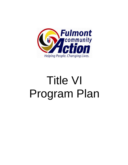

# Title VI Program Plan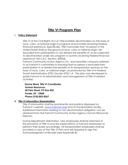# **Title VI Program Plan**

# **I. Policy Statement**

Title VI of the Civil Rights Act of 1964 prohibits discrimination on the basis of race, color, or national origin in programs and activities receiving Federal financial assistance. Specifically, Title VI provides that "no person in the United States shall on the ground of race, color or national origin, be excluded from participation in, be denied the benefits of, or be subjected to discrimination under any program or activity receiving Federal financial assistance" (42 U.S.C. Section 2000d).

Fulmont Community Action Agency Inc. and hereafter company referred to as Fulmont is committed to ensuring that no person is excluded from participation in or denied the benefits of its transportation services on the basis of race, color, or national origin, as protected by Title VI in Federal Transit Administration (FTS) Circular 4702.1.A. This plan was developed to guide Fulmont in its administration and management of Title VI-related activities.

 **Donna Ward, Title VI Coordinator Human Resources 20 Park Street, PO Box 835 Fonda, NY 12068 Phone (518) 853-8367**

### **II. Title VI Information Dissemination**

Title VI information shall be prominently and publicly displayed on Fulmont's website, [\(www.Fulmont.org\)](http://www.fulmont.org/) and at Transportation facility. Additional information relating to non-discrimination obligation can be obtained from the Fulmont Community Action Agency Human Resources Director.

During Department Orientation, new employees shall be informed of the provisions of Title VI and the expectations of Fulmont employees to perform their duties accordingly. All transportation employees shall be provided a copy of the Title VI Plan and are required to sign the Acknowledgment of Receipt (see Appendix B).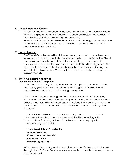# **III. Subcontracts and Venders**

All subcontractors and venders who receive payments from Fulmont where funding originates from any Federal assistance are subject to provisions of Title VI of the Civil Rights Act of 1964 as amended.

Written contracts shall contain non-discrimination language, either directly or through the bid specification package which becomes an associated component of the contract.

# **IV. Record Keeping**

The Title VI Coordinator will maintain records (in accordance with record retention policy), which include, but are not limited to, copies of the Title VI complaints or lawsuits and related documentation, and records of correspondence to and from complainants and Title VI investigations. The signed acknowledgments of receipts from the employees indicating the receipt of the Fulmont Title VI Plan will be maintained in the employees training records.

# **V. Title VI Complaint Procedures**

# **How to file a Title VI Complaint**

The complainant may file a signed, written complaint up to one hundred and eighty (180) days from the date of the alleged discrimination. The complaint should include the following information.

Complainant's name, mailing address, and how to contact them (i.e., telephone number, email address, etc.) How, when, where and why they believe they were discriminated against. Include the location, names and contact information of any witnesses. Other information that they deem significant.

The Title VI Complaint Form (see Appendix C) may be used to submit complaint Information. The complaint must be filed in writing with Fulmont at the following Address in order for Fulmont to properly investigate any complaint:

**Donna Ward, Title VI Coordinator Human Resources 20 Park Street, PO Box 835 Fonda, NY 12068 Phone (518) 853-8367**

NOTE: Fulmont encourages all complainants to certify any mail that is sent through the U.S. Postal Service and/or ensure that all written correspondence can be tracked.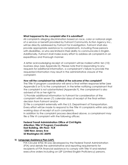### **What happened to the complaint after it is submitted?**

All complaints alleging discrimination based on race, color or national origin of a service or benefit provided by Fulmont Community Action Agency Inc., will be directly addressed by Fulmont for investigation. Fulmont shall also provide appropriate assistance to complainants, including those persons with disabilities, or who are limited in their ability to communicate in English. Additionally, Fulmont shall make every effort to address all complaints in an expeditious and thorough manner.

A letter acknowledging receipt of complaint will be mailed within ten (10) business days (see Appendix D). Please note that in responding to any requests for additional information, a complainant's failure to provide the requested information may result in the administrative closure of the complaint.

### **How will the complainant be notified of the outcome of the complaint?**

The Title VI program coordinator will send a final written response letter (see Appendix E or F) to the complainant. In the letter notifying complainant that the complaint is not substantiated (Appendix F), the complainant is also advised of his or her right to

1) Provide additional information to Fulmont for consideration of the complaint within seven (7) calendar days of receipt of the final written decision from Fulmont and/or

2) File a complaint externally with the U.S. Department of Transportation. Every effort will be made to respond to the Title VI complaints within sixty (60) working days of receipt of such complaints.

In addition to the complaint process described above, a complainant may file a Title VI complaint with the following offices:

**Federal Transit Administration Office of Civil Rights Attention: Title VI Program Coordinator East Building, 5th Floor- TCR 1200 New Jersey Ave SE Washington DC 20590**

### **VI. Language Assistance Plan (LAP)**

FTA Circular 4702.1B was developed by the Federal Transit Administration (FTA) and details the administrative and reporting requirements for recipients of FTA financial assistance to comply with Title VI and related executive orders including on LEP (Limited English Proficiency) persons.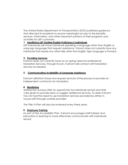The United States Department of Transportation (DOT) published guidance that directed its recipients to ensure meaningful access to the benefits, services, information, and other important portions of their programs and activities for LEP customers.

# **1. Identifying LEP (Limited English Proficiency) Individuals**

LEP Individuals are those individuals speaking a language other than English or using sign language that request assistance. Fulmont does not currently have any individuals that require any other help other than English, Sign Language or Prompts.

# **2. Providing Services**

Fulmont does not currently have an on-going need for professional translation Services, through its own, Fulmont will contract with translation services as needed.

# **3. Communicating Availability of Language Assistance**

Fulmont will inform those who request services of the process to provide an independent contractor for translation.

# **4. Monitoring**

Satisfaction Surveys offer an opportunity for individuals served and their care givers to provide input or suggest additional services. To date Fulmont has not had the need to use translation services provided by either inhouse staff through outside providers

The Title VI Plan will also be reviewed every three years.

# **5. Employee Training**

As part of the Accessibility Plan, Fulmont encourages staff interest and education in learning to more effectively communicate with individuals served.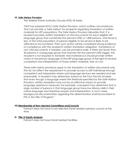### **VII. Safe Harbor Provision**

The federal Transit Authority Circular 4702.1B states

*"DOT has adopted DOJ's Safe Harbor Provision, which outlines circumstances that can provide* a *"safe harbor" for recipients regarding translation of written materials for LEP populations. The Safe Harbor Provision stipulates that, if a recipient provides written translation of vital documents for each eligible LEP language group that constitutes five percent (5%) or 1,000 persons, whichever is less, of the total population of persons eligible to be served or likely to be affected or encountered. Then such action will be considered strong evidence of compliance with the recipient's written translation obligation. Translations of non-vital documents, if needed, can be provided orally. If there are fewer than 50 persons in* a *language group that reaches the five percent (5%) trigger, the recipient is not required to translate vital materials but should provide written notice in the primary language of the LEP language group of the right to receive competent oral interpretation of those written materials, free of cost.*

*These safe harbor provisions apply to the translation of written documents only. The do not affect the requirement to provide access to LEP individuals through competent oral interpreters where oral language services are needed and are reasonable. A recipient may determine, based on the Four Factors Analysis, that even though* a *language meets the threshold specified by the Safe Harbor Provision, written translation may not be an effective means to provide language assistance measures. For example,* a *recipient may determine that* a large number of persons in that language group have low literacy skills in their *native language and therefore require oral interpretation. In such cases, background documentation regarding the determination shall be provided to FTA in the Title VI Program."*

### **VIII.Membership of Non-elected Committees andCouncils**

Fulmont does not have a non-elected transit related advisory council at this time.

### **IX. Title VI Equity Analysis**

Fulmont does not have transit related facilities.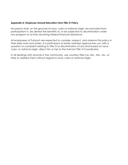# **Appendix A: Employee Annual Education Form Title VI Policy**

No person shall, on the grounds of race, color or national origin, be excluded from participation in, be denied the benefits of, or be subjected to discrimination under any program or activity receiving federal financial assistance.

All employees of Fulmont are expected to consider, respect, and observe this policy in their daily work and duties. If a participant or family member approaches you with a question or complaint relating to Title VI or discrimination of any kind based on race, color, or national origin, direct him or her to the Fulmont Title VI Coordinator.

In all dealings with anyone in the community, use courtesy titles (i.e. Mrs., Mrs., Ms., or Miss) to address them without regard to race, color or national origin.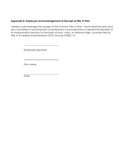# **Appendix B: Employee Acknowledgement of Receipt of Title VI Plan**

I hereby acknowledge the receipt of the Fulmont Title VI Plan. I have read the plan and am committed to ensuring that no participant is excluded from or denied the benefits of its transportation services on the basis of race, color, or national origin, as protected by Title VI in Federal Administration (FTA) Circular 47002.1.A.

Employee signature

Print name

**Date**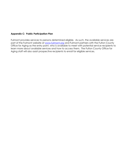# **Appendix C: Public Participation Plan**

Fulmont provides services to persons determined eligible. As such, the available services are part of the Fulmont website at [www.fulmont.org](http://www.fulmont.org/) and Fulmont partners with the Fulton County Office for Aging as the entry point, who is available to meet with potential service recipients to learn more about available services and how to access them. The Fulton County Office for Aging staff will also assist prospective recipients to enroll for eligible services.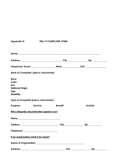| <b>Appendix D:</b>                                                                | <b>Title VI COMPLAINT FORM</b> |                    |
|-----------------------------------------------------------------------------------|--------------------------------|--------------------|
|                                                                                   |                                |                    |
|                                                                                   |                                |                    |
|                                                                                   |                                |                    |
| <b>Basis of Complaint: (place checkmark)</b>                                      |                                |                    |
| <b>Race</b><br>Color<br>Sex<br><b>National Origin</b><br>Age<br><b>Disability</b> |                                |                    |
| <b>Type of Complaint (place checkmark)</b>                                        |                                |                    |
| Program                                                                           | Service<br><b>Benefit</b>      | <b>Activity</b>    |
| Who allegedly discriminated against you?                                          |                                |                    |
| Name                                                                              |                                |                    |
|                                                                                   |                                |                    |
|                                                                                   |                                |                    |
| If an organization what is its name?                                              |                                |                    |
|                                                                                   |                                |                    |
|                                                                                   |                                | $\mathsf{Zip}\_\_$ |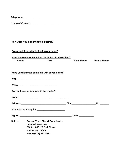|                 | Telephone _________________________________                                                                                                                                                                                    |                 |                                        |
|-----------------|--------------------------------------------------------------------------------------------------------------------------------------------------------------------------------------------------------------------------------|-----------------|----------------------------------------|
|                 | Name of Contact_____________________                                                                                                                                                                                           |                 |                                        |
|                 |                                                                                                                                                                                                                                |                 |                                        |
|                 | How were you discriminated against?                                                                                                                                                                                            |                 |                                        |
|                 | Dates and times discrimination occurred?                                                                                                                                                                                       |                 |                                        |
| <b>Name</b>     | Were there any other witnesses to the discrimination?<br><b>Title</b>                                                                                                                                                          |                 | <b>Work Phone</b><br><b>Home Phone</b> |
|                 | Have you filed your complaint with anyone else?                                                                                                                                                                                |                 |                                        |
|                 |                                                                                                                                                                                                                                |                 |                                        |
|                 | Do you have an Attorney in this matter?                                                                                                                                                                                        |                 |                                        |
|                 |                                                                                                                                                                                                                                |                 |                                        |
|                 | Address and the contract of the contract of the contract of the contract of the contract of the contract of the contract of the contract of the contract of the contract of the contract of the contract of the contract of th |                 | <b>Zip</b>                             |
|                 |                                                                                                                                                                                                                                |                 |                                        |
|                 |                                                                                                                                                                                                                                | Date __________ |                                        |
| <b>Mail to:</b> | Donna Ward, Title VI Coordinator<br><b>Human Resources</b>                                                                                                                                                                     |                 |                                        |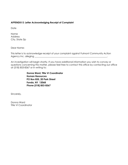# **APPENDIX E: Letter Acknowledging Receipt of Complaint**

**Date** 

Name Address City, State Zip

Dear Name:

This letter is to acknowledge receipt of your complaint against Fulmont Community Action Agency Inc. alleging \_\_\_\_\_\_\_\_\_\_\_\_\_\_\_\_\_\_\_\_\_\_\_\_\_\_\_\_\_\_\_\_\_\_\_\_\_\_\_\_\_\_\_\_\_\_\_\_\_\_\_\_\_\_\_\_\_\_\_\_\_\_\_.

An investigation will begin shortly. If you have additional information you wish to convey or questions concerning this matter, please feel free to contact this office by contacting our office at (518) 853-8367 or in writing to:

> **Donna Ward, Title VI Coordinator Human Resources PO Box 835, 20 Park Street Fonda, NY 12068 Phone (518) 853-8367**

Sincerely,

Donna Ward Title VI Coordinator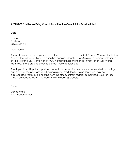# **APPENDIX F: Letter Notifying Complainant that the Complaint Is Substantiated**

**Date** 

Name Address City, State Zip

Dear Name:

The matter referenced in your letter dated and against Fulmont Community Action Agency Inc. alleging Title VI violation has been investigated. (An/Several) apparent violation(s) of Title VI of the Civil Rights Act of 1964, including those mentioned in your letter (was/were) identified. Efforts are underway to correct these deficiencies.

Thank you for calling this important matter to our attention. You were extremely helpful during our review of the program. (If a hearing is requested, the following sentence may be appropriate.) You may be hearing from this office, or from federal authorities, if your services should be needed during the administrative hearing process.

Sincerely,

Donna Ward Title VI Coordinator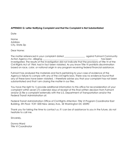# **APPENDIX G: Letter Notifying Complaint and that the Complaint Is Not Substantiated**

Date

Name Address City, State Zip

Dear Name:

The matter referenced in your complaint dated \_\_\_\_\_\_\_\_\_\_\_\_\_\_\_\_\_\_\_\_\_\_\_\_\_\_\_\_\_\_\_\_\_\_ against Fulmont Community Action Agency Inc. alleging \_\_\_\_\_\_\_\_\_\_\_\_\_\_\_\_\_\_\_\_\_\_\_\_\_\_\_\_\_\_\_\_\_\_\_\_\_\_\_\_\_\_\_\_\_\_\_\_ has been investigated. The results of the investigation did not indicate that the provisions of Title VI of the Civil Rights Act of 1964, had in fact been violated. As you know Title VI prohibits discrimination based on race, color, or national origin in any program receiving federal financial assistance.

Fulmont has analyzed the materials and facts pertaining to your case of evidence of the Agency's failure to comply with any of the civil rights laws. There was no evidence found that any of these laws have been violated. I therefore advise you that your complaint has not been substantiated and that I am closing the matter in our files.

You have the right to 1) provide additional information to this office for reconsideration of your complaint within seven (7) calendar days of receipt of this final written decision from Fulmont and/or 2) file a complaint externally with the U.S. Department of Transportation and/or the Federal Transit Administration at:

Federal Transit Administration Office of Civil Rights Attention: Title VI Program Coordinator East Building, 5th Floor- TCR 1200 New Jersey Ave., SE Washington DC 20590

Thank you for taking the time to contact us. If I can be of assistance to you in the future, do not hesitate to call me.

Sincerely,

Donna Ward Title VI Coordinator